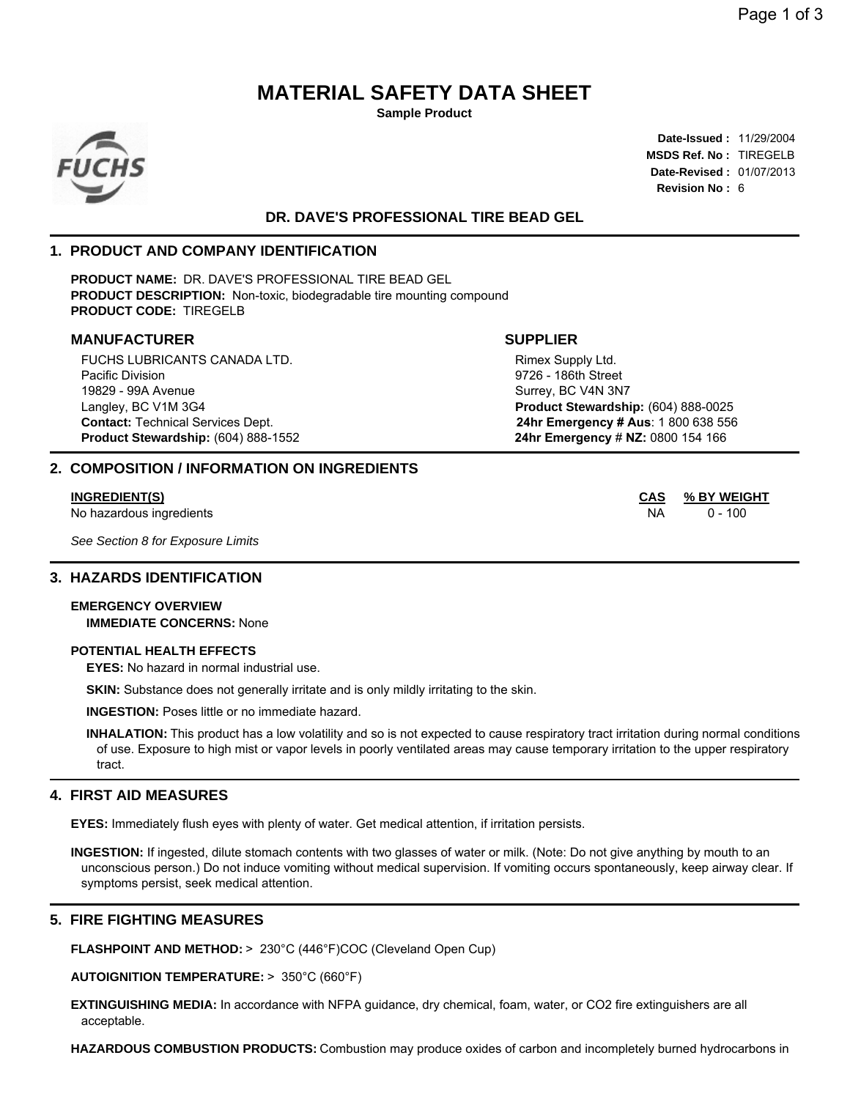# **MATERIAL SAFETY DATA SHEET**

**Sample Product**



**Date-Issued :** 11/29/2004 **MSDS Ref. No :** TIREGELB **Date-Revised :** 01/07/2013 **Revision No :** 6

## **DR. DAVE'S PROFESSIONAL TIRE BEAD GEL**

## **1. PRODUCT AND COMPANY IDENTIFICATION**

**PRODUCT NAME:** DR. DAVE'S PROFESSIONAL TIRE BEAD GEL **PRODUCT DESCRIPTION:** Non-toxic, biodegradable tire mounting compound **PRODUCT CODE:** TIREGELB

## **MANUFACTURER SUPPLIER**

FUCHS LUBRICANTS CANADA LTD. Pacific Division 19829 - 99A Avenue Langley, BC V1M 3G4 **Product Stewardship:** (604) 888-1552 **24hr Emergency** # **NZ:** 0800 154 166

## **2. COMPOSITION / INFORMATION ON INGREDIENTS**

No hazardous ingredients **NA 20 - 100** NA 20 - 100

*See Section 8 for Exposure Limits*

#### **3. HAZARDS IDENTIFICATION**

### **EMERGENCY OVERVIEW IMMEDIATE CONCERNS:** None

#### **POTENTIAL HEALTH EFFECTS**

**EYES:** No hazard in normal industrial use.

**SKIN:** Substance does not generally irritate and is only mildly irritating to the skin.

**INGESTION:** Poses little or no immediate hazard.

**INHALATION:** This product has a low volatility and so is not expected to cause respiratory tract irritation during normal conditions of use. Exposure to high mist or vapor levels in poorly ventilated areas may cause temporary irritation to the upper respiratory tract.

#### **4. FIRST AID MEASURES**

**EYES:** Immediately flush eyes with plenty of water. Get medical attention, if irritation persists.

**INGESTION:** If ingested, dilute stomach contents with two glasses of water or milk. (Note: Do not give anything by mouth to an unconscious person.) Do not induce vomiting without medical supervision. If vomiting occurs spontaneously, keep airway clear. If symptoms persist, seek medical attention.

## **5. FIRE FIGHTING MEASURES**

**FLASHPOINT AND METHOD:** > 230°C (446°F)COC (Cleveland Open Cup)

**AUTOIGNITION TEMPERATURE:** > 350°C (660°F)

**EXTINGUISHING MEDIA:** In accordance with NFPA guidance, dry chemical, foam, water, or CO2 fire extinguishers are all acceptable.

**HAZARDOUS COMBUSTION PRODUCTS:** Combustion may produce oxides of carbon and incompletely burned hydrocarbons in

**Contact:** Technical Services Dept. **24hr Emergency # Aus**: 1 800 638 556 Rimex Supply Ltd. 9726 - 186th Street Surrey, BC V4N 3N7 **Product Stewardship:** (604) 888-0025

**INGREDIENT(S) CAS % BY WEIGHT**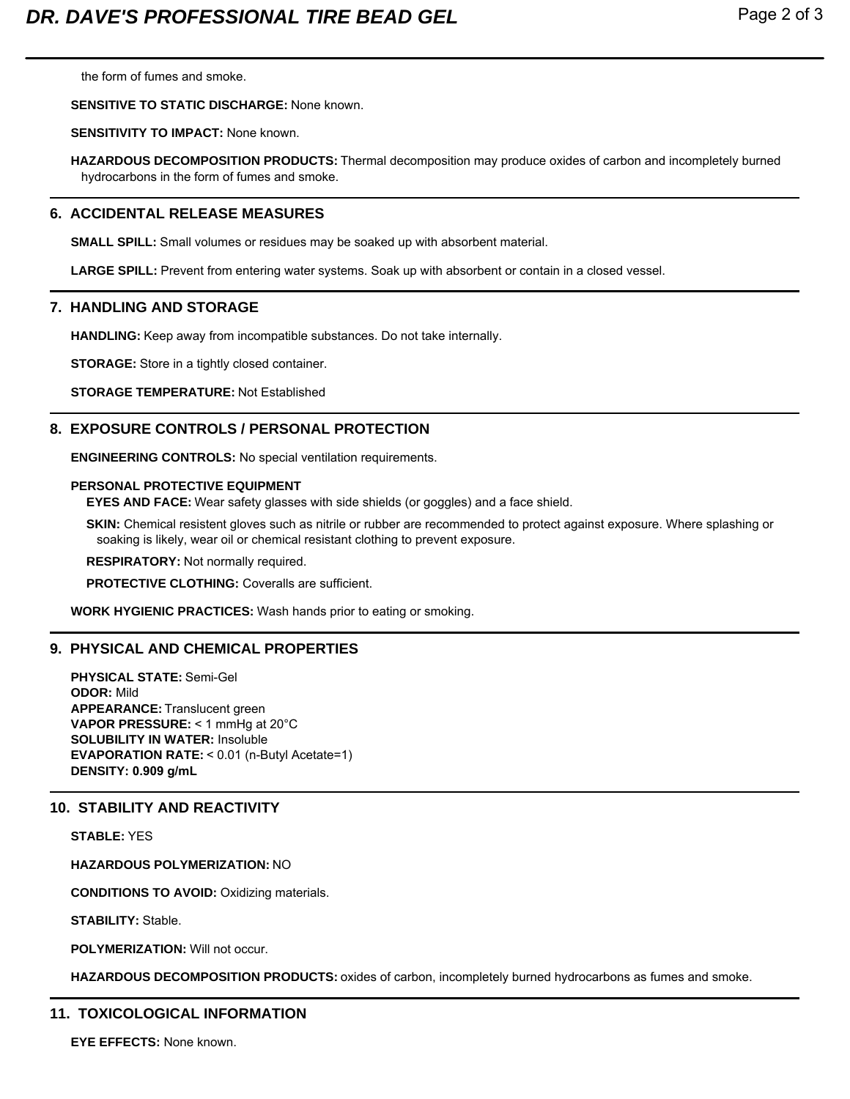the form of fumes and smoke.

## **SENSITIVE TO STATIC DISCHARGE:** None known.

## **SENSITIVITY TO IMPACT:** None known.

**HAZARDOUS DECOMPOSITION PRODUCTS:** Thermal decomposition may produce oxides of carbon and incompletely burned hydrocarbons in the form of fumes and smoke.

## **6. ACCIDENTAL RELEASE MEASURES**

**SMALL SPILL:** Small volumes or residues may be soaked up with absorbent material.

**LARGE SPILL:** Prevent from entering water systems. Soak up with absorbent or contain in a closed vessel.

## **7. HANDLING AND STORAGE**

**HANDLING:** Keep away from incompatible substances. Do not take internally.

**STORAGE:** Store in a tightly closed container.

**STORAGE TEMPERATURE:** Not Established

## **8. EXPOSURE CONTROLS / PERSONAL PROTECTION**

**ENGINEERING CONTROLS:** No special ventilation requirements.

## **PERSONAL PROTECTIVE EQUIPMENT**

**EYES AND FACE:** Wear safety glasses with side shields (or goggles) and a face shield.

**SKIN:** Chemical resistent gloves such as nitrile or rubber are recommended to protect against exposure. Where splashing or soaking is likely, wear oil or chemical resistant clothing to prevent exposure.

**RESPIRATORY:** Not normally required.

**PROTECTIVE CLOTHING:** Coveralls are sufficient.

**WORK HYGIENIC PRACTICES:** Wash hands prior to eating or smoking.

## **9. PHYSICAL AND CHEMICAL PROPERTIES**

**PHYSICAL STATE:** Semi-Gel **ODOR:** Mild **APPEARANCE:** Translucent green **VAPOR PRESSURE:** < 1 mmHg at 20°C **SOLUBILITY IN WATER:** Insoluble **EVAPORATION RATE:** < 0.01 (n-Butyl Acetate=1) **DENSITY: 0.909 g/mL**

## **10. STABILITY AND REACTIVITY**

**STABLE:** YES

**HAZARDOUS POLYMERIZATION:** NO

**CONDITIONS TO AVOID:** Oxidizing materials.

**STABILITY:** Stable.

**POLYMERIZATION:** Will not occur.

**HAZARDOUS DECOMPOSITION PRODUCTS:** oxides of carbon, incompletely burned hydrocarbons as fumes and smoke.

## **11. TOXICOLOGICAL INFORMATION**

**EYE EFFECTS:** None known.